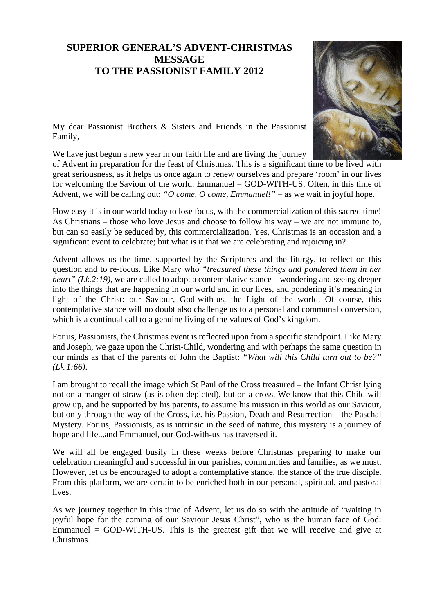## **SUPERIOR GENERAL'S ADVENT-CHRISTMAS MESSAGE TO THE PASSIONIST FAMILY 2012**



My dear Passionist Brothers & Sisters and Friends in the Passionist Family,

We have just begun a new year in our faith life and are living the journey

of Advent in preparation for the feast of Christmas. This is a significant time to be lived with great seriousness, as it helps us once again to renew ourselves and prepare 'room' in our lives for welcoming the Saviour of the world: Emmanuel = GOD-WITH-US. Often, in this time of Advent, we will be calling out: *"O come, O come, Emmanuel!"* – as we wait in joyful hope.

How easy it is in our world today to lose focus, with the commercialization of this sacred time! As Christians – those who love Jesus and choose to follow his way – we are not immune to, but can so easily be seduced by, this commercialization. Yes, Christmas is an occasion and a significant event to celebrate; but what is it that we are celebrating and rejoicing in?

Advent allows us the time, supported by the Scriptures and the liturgy, to reflect on this question and to re-focus. Like Mary who *"treasured these things and pondered them in her heart" (Lk.2:19)*, we are called to adopt a contemplative stance – wondering and seeing deeper into the things that are happening in our world and in our lives, and pondering it's meaning in light of the Christ: our Saviour, God-with-us, the Light of the world. Of course, this contemplative stance will no doubt also challenge us to a personal and communal conversion, which is a continual call to a genuine living of the values of God's kingdom.

For us, Passionists, the Christmas event is reflected upon from a specific standpoint. Like Mary and Joseph, we gaze upon the Christ-Child, wondering and with perhaps the same question in our minds as that of the parents of John the Baptist: *"What will this Child turn out to be?" (Lk.1:66)*.

I am brought to recall the image which St Paul of the Cross treasured – the Infant Christ lying not on a manger of straw (as is often depicted), but on a cross. We know that this Child will grow up, and be supported by his parents, to assume his mission in this world as our Saviour, but only through the way of the Cross, i.e. his Passion, Death and Resurrection – the Paschal Mystery. For us, Passionists, as is intrinsic in the seed of nature, this mystery is a journey of hope and life...and Emmanuel, our God-with-us has traversed it.

We will all be engaged busily in these weeks before Christmas preparing to make our celebration meaningful and successful in our parishes, communities and families, as we must. However, let us be encouraged to adopt a contemplative stance, the stance of the true disciple. From this platform, we are certain to be enriched both in our personal, spiritual, and pastoral lives.

As we journey together in this time of Advent, let us do so with the attitude of "waiting in joyful hope for the coming of our Saviour Jesus Christ", who is the human face of God: Emmanuel = GOD-WITH-US. This is the greatest gift that we will receive and give at Christmas.